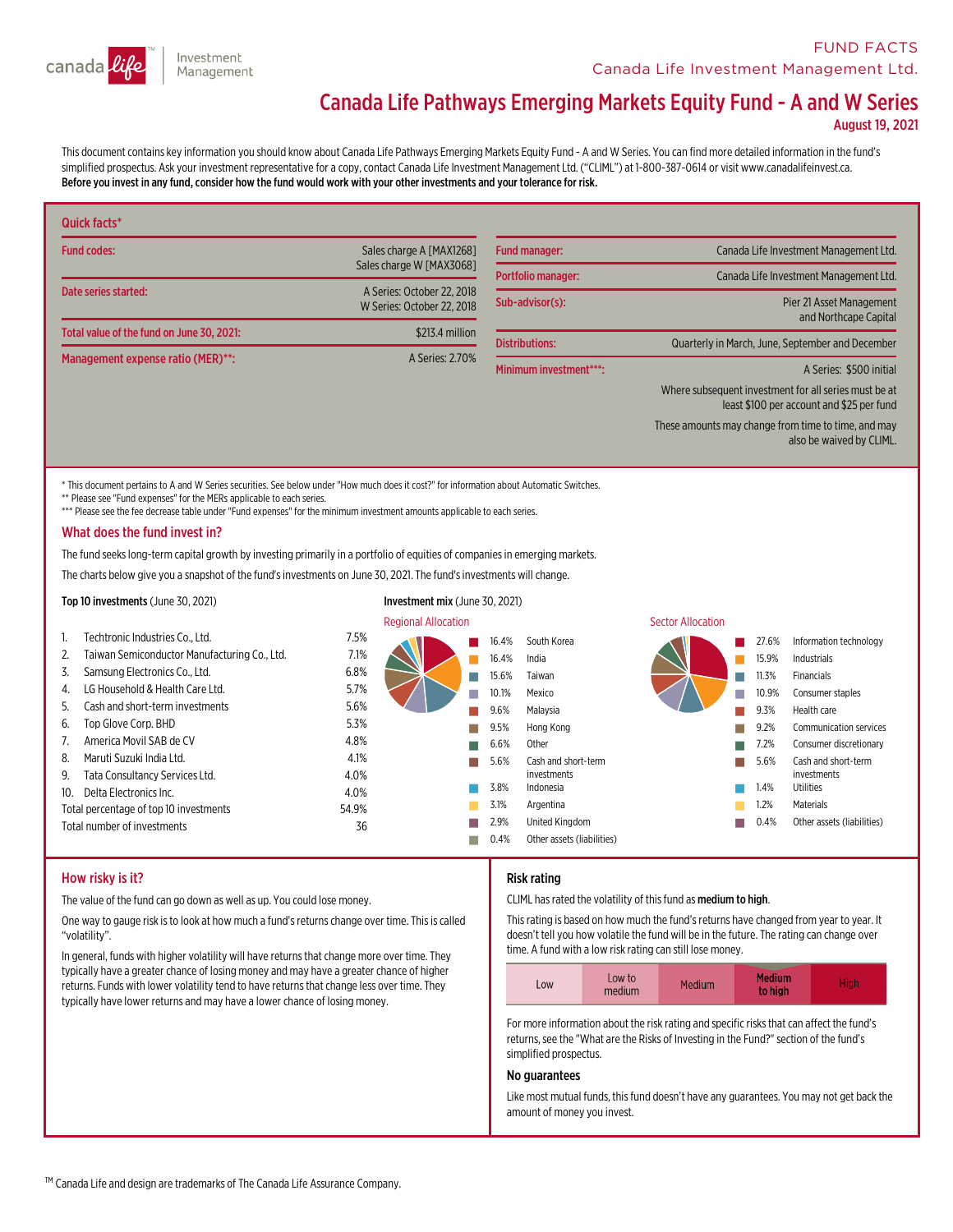

# **FUND FACTS Canada Life Investment Management Ltd.**

# Canada Life Pathways Emerging Markets Equity Fund - A and W Series

August 19, 2021

This document contains key information you should know about Canada Life Pathways Emerging Markets Equity Fund - A and W Series. You can find more detailed information in the fund's simplified prospectus. Ask your investment representative for a copy, contact Canada Life Investment Management Ltd. ("CLIML") at 1-800-387-0614 or visit www.canadalifeinvest.ca. Before you invest in any fund,consider how the fund would work with your other investments and your tolerance for risk.

| Quick facts*                              |                                                          |                        |                                                                                                    |
|-------------------------------------------|----------------------------------------------------------|------------------------|----------------------------------------------------------------------------------------------------|
| <b>Fund codes:</b>                        | Sales charge A [MAX1268]                                 | <b>Fund manager:</b>   | Canada Life Investment Management Ltd.                                                             |
|                                           | Sales charge W [MAX3068]                                 | Portfolio manager:     | Canada Life Investment Management Ltd.                                                             |
| Date series started:                      | A Series: October 22, 2018<br>W Series: October 22, 2018 | Sub-advisor(s):        | Pier 21 Asset Management<br>and Northcape Capital                                                  |
| Total value of the fund on June 30, 2021: | \$213.4 million                                          |                        |                                                                                                    |
| Management expense ratio (MER)**:         | A Series: 2.70%                                          | <b>Distributions:</b>  | Quarterly in March, June, September and December                                                   |
|                                           |                                                          | Minimum investment***: | A Series: \$500 initial                                                                            |
|                                           |                                                          |                        | Where subsequent investment for all series must be at<br>least \$100 per account and \$25 per fund |
|                                           |                                                          |                        | These amounts may change from time to time, and may<br>also be waived by CLIML.                    |

This document pertains to A and W Series securities. See below under "How much does it cost?" for information about Automatic Switches.

\*\* Please see "Fund expenses" for the MERs applicable to each series.

\*\*\* Please see the fee decrease table under "Fund expenses" for the minimum investment amounts applicable to each series.

#### What does the fund invest in?

The fund seeks long-term capital growth by investing primarily in a portfolio of equities of companies in emerging markets.

The charts below give you a snapshot of the fund's investments on June 30, 2021. The fund's investments will change.

#### Top 10 investments (June 30, 2021) Investment mix (June 30, 2021) **Regional Allocation Sector Allocation** Sector Allocation 1. Techtronic Industries Co., Ltd. 7.5% 2. Taiwan Semiconductor Manufacturing Co., Ltd. 7.1% 3. Samsung Electronics Co., Ltd. 6.8% 4. LG Household & Health Care Ltd. 5.7% 5. Cash and short-terminvestments 5.6% 6. Top Glove Corp. BHD 5.3% 7. America Movil SAB de CV 4.8% 8. Maruti Suzuki India Ltd. 4.1% 9. Tata Consultancy Services Ltd. 4.0% 10. Delta Electronics Inc. 4.0% Total percentage of top 10 investments 54.9% Total number of investments 36 n 16.4% South Korea n 16.4% India n 15.6% Taiwan n 10.1% Mexico n 9.6% Malaysia n 9.5% Hong Kong n 6.6% Other n 5.6% Cash and short-term investments 3.8% Indonesia 3.1% Argentina n 2.9% United Kingdom  $0.4%$ Other assets (liabilities) n 27.6% Information technology 15.9% Industrials n 11.3% Financials n 10.9% Consumer staples n 9.3% Health care n 9.2% Communication services n 7.2% Consumer discretionary n 5.6% Cash and short-term investments 1.4% Utilities 1.2% Materials n0.4% Other assets (liabilities)

# How risky is it?

The value of the fund can go down as well as up. You could lose money.

One way to gauge risk is to look at how much a fund's returns change over time. This is called "volatility".

In general, funds with higher volatility will have returns that change more over time. They typically have a greater chance of losing money and may have a greater chance of higher returns. Funds with lower volatility tend to have returns that change less over time. They typically have lower returns and may have a lower chance of losing money.

# Risk rating

CLIML has rated the volatility of this fund as medium to high.

Thisrating is based on how much the fund'sreturns have changed fromyear to year. It doesn't tell you how volatile the fund will be in the future. The rating can change over time. A fund with a low risk rating can still lose money.

| LOW | Low to<br>medium | Medium | <b>Medium</b><br>to high | High |
|-----|------------------|--------|--------------------------|------|
|-----|------------------|--------|--------------------------|------|

For more information about the risk rating and specific risks that can affect the fund's returns, see the "What are the Risks of Investing in the Fund?" section of the fund's simplified prospectus.

#### No guarantees

Like most mutual funds, this fund doesn't have any guarantees. You may not get back the amount of money you invest.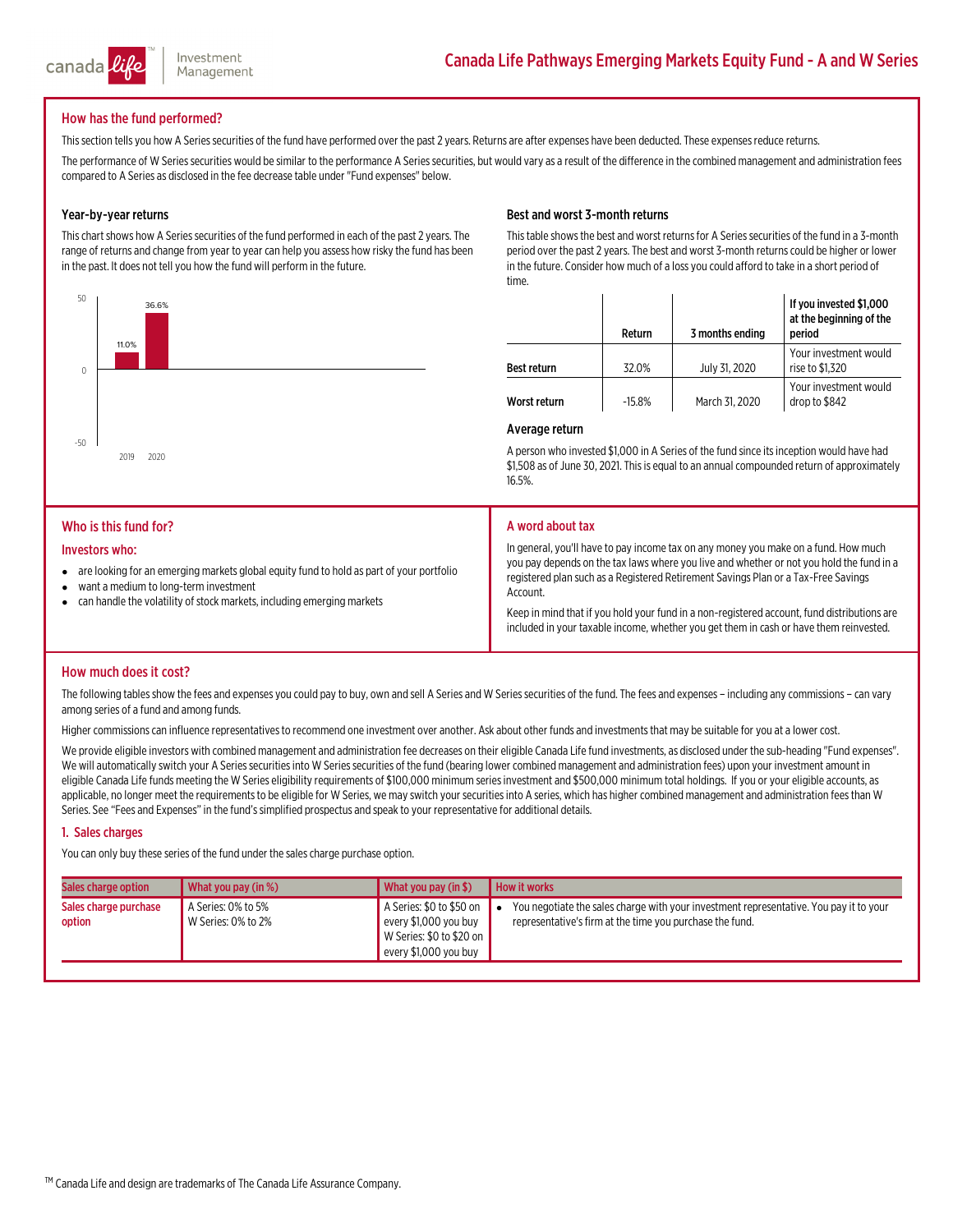

# How has the fund performed?

This section tells you how A Series securities of the fund have performed over the past 2 years. Returns are after expenses have been deducted. These expenses reduce returns.

The performance of W Series securities would be similar to the performance A Series securities, but would vary as a result of the difference in the combined management and administration fees compared to A Series as disclosed in the fee decrease table under "Fund expenses" below.

# Year-by-year returns

This chart shows how A Series securities of the fund performed in each of the past 2 years. The range of returns and change fromyear to year can help you assess how risky the fund has been in the past. It does not tell you how the fund will perform in the future.



This table shows the best and worst returns for A Series securities of the fund in a 3-month period over the past 2 years. The best and worst 3-month returns could be higher or lower in the future. Consider how much of a loss you could afford to take in a short period of time.

|                | Return   | 3 months ending | If you invested \$1,000<br>at the beginning of the<br>period                                                                                                                           |
|----------------|----------|-----------------|----------------------------------------------------------------------------------------------------------------------------------------------------------------------------------------|
| Best return    | 32.0%    | July 31, 2020   | Your investment would<br>rise to \$1,320                                                                                                                                               |
| Worst return   | $-15.8%$ | March 31, 2020  | Your investment would<br>drop to \$842                                                                                                                                                 |
| Average return |          |                 |                                                                                                                                                                                        |
|                |          |                 | A person who invested \$1,000 in A Series of the fund since its inception would have had<br>\$1,508 as of June 30, 2021. This is equal to an annual compounded return of approximately |

16.5%.

#### Who is this fund for?

2019

11.0%

#### Investors who:

-50

 $\theta$ 

50

- $\bullet$  are looking for an emerging markets global equity fund to hold as part of your portfolio
- $\bullet$ want a medium to long-term investment
- can handle the volatility of stock markets, including emerging markets

#### A word about tax

In general, you'll have to pay income tax on any money you make on a fund. How much<br>you pay depends on the tax laws where you live and whether or not you hold the fund in a registered plan such as a Registered Retirement Savings Plan or a Tax-Free Savings<br>Account.

Keep in mind that if you hold your fund in a non-registered account, fund distributions are included in your taxable income, whether you get them in cash or have them reinvested.

#### How much does it cost?

The following tables show the fees and expenses you could pay to buy, own and sell A Series and W Series securities of the fund. The fees and expenses – including any commissions – can vary<br>among series of a fund and among

Higher commissions can influence representatives to recommend one investment over another. Ask about other funds and investments that may be suitable for you at a lower cost.

We provide eligible investors with combined management and administration fee decreases on their eligible Canada Life fund investments, as disclosed under the sub-heading "Fund expenses".<br>We will automatically switch your

#### 1. Sales charges

You can only buy these series of the fund under the sales charge purchase option.

| Sales charge option             | What you pay (in %)                      | What you pay (in $$)$                                                                                  | How it works                                                                                                                                       |
|---------------------------------|------------------------------------------|--------------------------------------------------------------------------------------------------------|----------------------------------------------------------------------------------------------------------------------------------------------------|
| Sales charge purchase<br>option | A Series: 0% to 5%<br>W Series: 0% to 2% | A Series: \$0 to \$50 on<br>every \$1,000 you buy<br>W Series: \$0 to \$20 on<br>every \$1,000 you buy | You negotiate the sales charge with your investment representative. You pay it to your<br>representative's firm at the time you purchase the fund. |